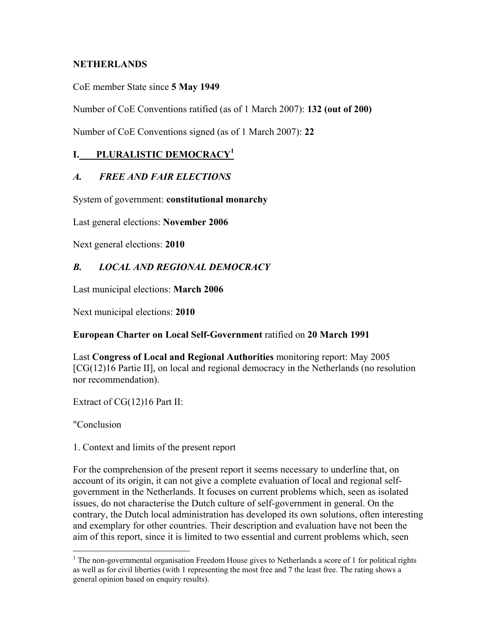#### **NETHERLANDS**

CoE member State since **5 May 1949**

Number of CoE Conventions ratified (as of 1 March 2007): **132 (out of 200)**

Number of CoE Conventions signed (as of 1 March 2007): **22**

# **I. PLURALISTIC DEMOCRACY1**

# *A. FREE AND FAIR ELECTIONS*

System of government: **constitutional monarchy**

Last general elections: **November 2006**

Next general elections: **2010**

# *B. LOCAL AND REGIONAL DEMOCRACY*

Last municipal elections: **March 2006**

Next municipal elections: **2010**

#### **European Charter on Local Self-Government** ratified on **20 March 1991**

Last **Congress of Local and Regional Authorities** monitoring report: May 2005 [CG(12)16 Partie II], on local and regional democracy in the Netherlands (no resolution nor recommendation).

Extract of CG(12)16 Part II:

"Conclusion

1. Context and limits of the present report

For the comprehension of the present report it seems necessary to underline that, on account of its origin, it can not give a complete evaluation of local and regional selfgovernment in the Netherlands. It focuses on current problems which, seen as isolated issues, do not characterise the Dutch culture of self-government in general. On the contrary, the Dutch local administration has developed its own solutions, often interesting and exemplary for other countries. Their description and evaluation have not been the aim of this report, since it is limited to two essential and current problems which, seen

 $\overline{a}$  $1$  The non-governmental organisation Freedom House gives to Netherlands a score of 1 for political rights as well as for civil liberties (with 1 representing the most free and 7 the least free. The rating shows a general opinion based on enquiry results).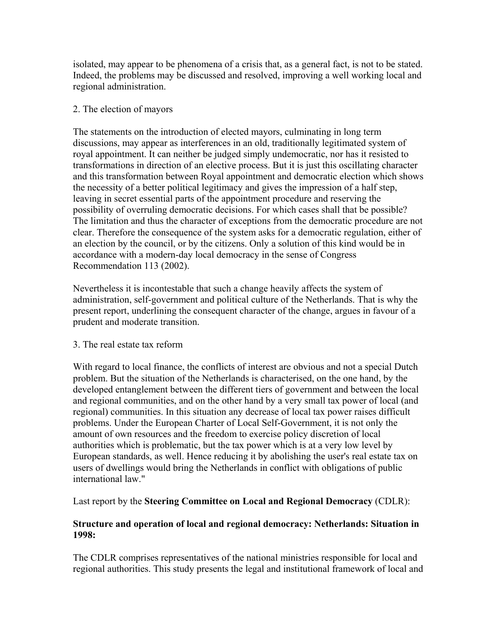isolated, may appear to be phenomena of a crisis that, as a general fact, is not to be stated. Indeed, the problems may be discussed and resolved, improving a well working local and regional administration.

#### 2. The election of mayors

The statements on the introduction of elected mayors, culminating in long term discussions, may appear as interferences in an old, traditionally legitimated system of royal appointment. It can neither be judged simply undemocratic, nor has it resisted to transformations in direction of an elective process. But it is just this oscillating character and this transformation between Royal appointment and democratic election which shows the necessity of a better political legitimacy and gives the impression of a half step, leaving in secret essential parts of the appointment procedure and reserving the possibility of overruling democratic decisions. For which cases shall that be possible? The limitation and thus the character of exceptions from the democratic procedure are not clear. Therefore the consequence of the system asks for a democratic regulation, either of an election by the council, or by the citizens. Only a solution of this kind would be in accordance with a modern-day local democracy in the sense of Congress Recommendation 113 (2002).

Nevertheless it is incontestable that such a change heavily affects the system of administration, self-government and political culture of the Netherlands. That is why the present report, underlining the consequent character of the change, argues in favour of a prudent and moderate transition.

#### 3. The real estate tax reform

With regard to local finance, the conflicts of interest are obvious and not a special Dutch problem. But the situation of the Netherlands is characterised, on the one hand, by the developed entanglement between the different tiers of government and between the local and regional communities, and on the other hand by a very small tax power of local (and regional) communities. In this situation any decrease of local tax power raises difficult problems. Under the European Charter of Local Self-Government, it is not only the amount of own resources and the freedom to exercise policy discretion of local authorities which is problematic, but the tax power which is at a very low level by European standards, as well. Hence reducing it by abolishing the user's real estate tax on users of dwellings would bring the Netherlands in conflict with obligations of public international law."

#### Last report by the **Steering Committee on Local and Regional Democracy** (CDLR):

#### **Structure and operation of local and regional democracy: Netherlands: Situation in 1998:**

The CDLR comprises representatives of the national ministries responsible for local and regional authorities. This study presents the legal and institutional framework of local and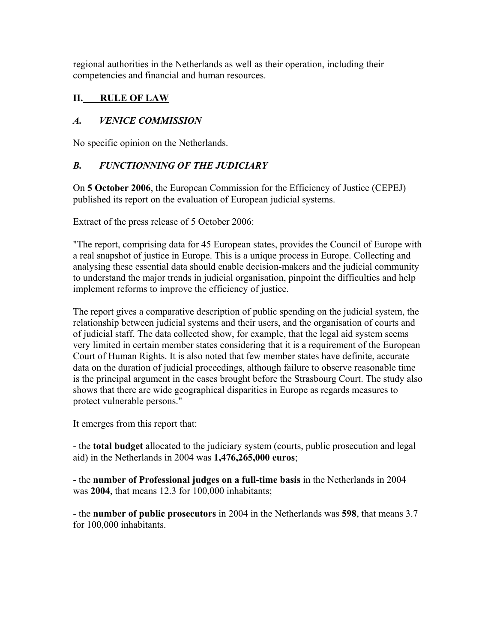regional authorities in the Netherlands as well as their operation, including their competencies and financial and human resources.

# **II. RULE OF LAW**

# *A. VENICE COMMISSION*

No specific opinion on the Netherlands.

# *B. FUNCTIONNING OF THE JUDICIARY*

On **5 October 2006**, the European Commission for the Efficiency of Justice (CEPEJ) published its report on the evaluation of European judicial systems.

Extract of the press release of 5 October 2006:

"The report, comprising data for 45 European states, provides the Council of Europe with a real snapshot of justice in Europe. This is a unique process in Europe. Collecting and analysing these essential data should enable decision-makers and the judicial community to understand the major trends in judicial organisation, pinpoint the difficulties and help implement reforms to improve the efficiency of justice.

The report gives a comparative description of public spending on the judicial system, the relationship between judicial systems and their users, and the organisation of courts and of judicial staff. The data collected show, for example, that the legal aid system seems very limited in certain member states considering that it is a requirement of the European Court of Human Rights. It is also noted that few member states have definite, accurate data on the duration of judicial proceedings, although failure to observe reasonable time is the principal argument in the cases brought before the Strasbourg Court. The study also shows that there are wide geographical disparities in Europe as regards measures to protect vulnerable persons."

It emerges from this report that:

- the **total budget** allocated to the judiciary system (courts, public prosecution and legal aid) in the Netherlands in 2004 was **1,476,265,000 euros**;

- the **number of Professional judges on a full-time basis** in the Netherlands in 2004 was **2004**, that means 12.3 for 100,000 inhabitants;

- the **number of public prosecutors** in 2004 in the Netherlands was **598**, that means 3.7 for 100,000 inhabitants.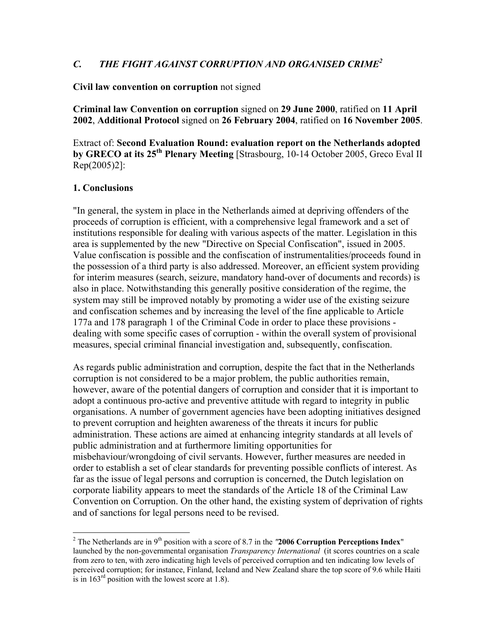# *C. THE FIGHT AGAINST CORRUPTION AND ORGANISED CRIME2*

#### **Civil law convention on corruption** not signed

**Criminal law Convention on corruption** signed on **29 June 2000**, ratified on **11 April 2002**, **Additional Protocol** signed on **26 February 2004**, ratified on **16 November 2005**.

Extract of: **Second Evaluation Round: evaluation report on the Netherlands adopted by GRECO at its 25th Plenary Meeting** [Strasbourg, 10-14 October 2005, Greco Eval II Rep(2005)2]:

#### **1. Conclusions**

 $\overline{a}$ 

"In general, the system in place in the Netherlands aimed at depriving offenders of the proceeds of corruption is efficient, with a comprehensive legal framework and a set of institutions responsible for dealing with various aspects of the matter. Legislation in this area is supplemented by the new "Directive on Special Confiscation", issued in 2005. Value confiscation is possible and the confiscation of instrumentalities/proceeds found in the possession of a third party is also addressed. Moreover, an efficient system providing for interim measures (search, seizure, mandatory hand-over of documents and records) is also in place. Notwithstanding this generally positive consideration of the regime, the system may still be improved notably by promoting a wider use of the existing seizure and confiscation schemes and by increasing the level of the fine applicable to Article 177a and 178 paragraph 1 of the Criminal Code in order to place these provisions dealing with some specific cases of corruption - within the overall system of provisional measures, special criminal financial investigation and, subsequently, confiscation.

As regards public administration and corruption, despite the fact that in the Netherlands corruption is not considered to be a major problem, the public authorities remain, however, aware of the potential dangers of corruption and consider that it is important to adopt a continuous pro-active and preventive attitude with regard to integrity in public organisations. A number of government agencies have been adopting initiatives designed to prevent corruption and heighten awareness of the threats it incurs for public administration. These actions are aimed at enhancing integrity standards at all levels of public administration and at furthermore limiting opportunities for misbehaviour/wrongdoing of civil servants. However, further measures are needed in order to establish a set of clear standards for preventing possible conflicts of interest. As far as the issue of legal persons and corruption is concerned, the Dutch legislation on corporate liability appears to meet the standards of the Article 18 of the Criminal Law Convention on Corruption. On the other hand, the existing system of deprivation of rights and of sanctions for legal persons need to be revised.

<sup>&</sup>lt;sup>2</sup> The Netherlands are in 9<sup>th</sup> position with a score of 8.7 in the  $"2006$  Corruption Perceptions Index" launched by the non-governmental organisation *Transparency International* (it scores countries on a scale from zero to ten, with zero indicating high levels of perceived corruption and ten indicating low levels of perceived corruption; for instance, Finland, Iceland and New Zealand share the top score of 9.6 while Haiti is in  $163<sup>rd</sup>$  position with the lowest score at 1.8).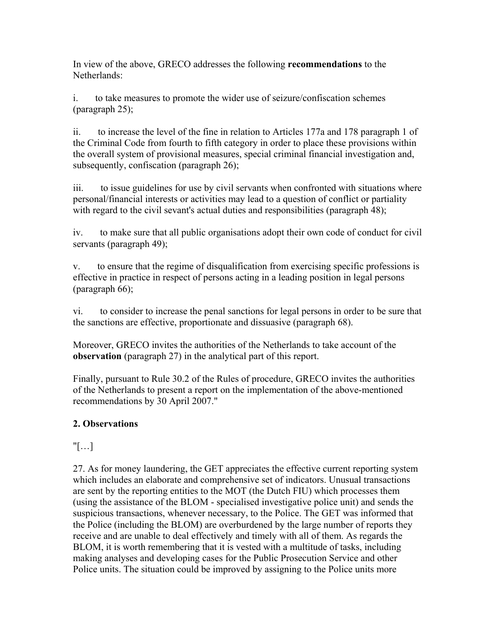In view of the above, GRECO addresses the following **recommendations** to the Netherlands:

i. to take measures to promote the wider use of seizure/confiscation schemes (paragraph 25);

ii. to increase the level of the fine in relation to Articles 177a and 178 paragraph 1 of the Criminal Code from fourth to fifth category in order to place these provisions within the overall system of provisional measures, special criminal financial investigation and, subsequently, confiscation (paragraph 26);

iii. to issue guidelines for use by civil servants when confronted with situations where personal/financial interests or activities may lead to a question of conflict or partiality with regard to the civil sevant's actual duties and responsibilities (paragraph 48):

iv. to make sure that all public organisations adopt their own code of conduct for civil servants (paragraph 49);

v. to ensure that the regime of disqualification from exercising specific professions is effective in practice in respect of persons acting in a leading position in legal persons (paragraph 66);

vi. to consider to increase the penal sanctions for legal persons in order to be sure that the sanctions are effective, proportionate and dissuasive (paragraph 68).

Moreover, GRECO invites the authorities of the Netherlands to take account of the **observation** (paragraph 27) in the analytical part of this report.

Finally, pursuant to Rule 30.2 of the Rules of procedure, GRECO invites the authorities of the Netherlands to present a report on the implementation of the above-mentioned recommendations by 30 April 2007."

# **2. Observations**

# "[…]

27. As for money laundering, the GET appreciates the effective current reporting system which includes an elaborate and comprehensive set of indicators. Unusual transactions are sent by the reporting entities to the MOT (the Dutch FIU) which processes them (using the assistance of the BLOM - specialised investigative police unit) and sends the suspicious transactions, whenever necessary, to the Police. The GET was informed that the Police (including the BLOM) are overburdened by the large number of reports they receive and are unable to deal effectively and timely with all of them. As regards the BLOM, it is worth remembering that it is vested with a multitude of tasks, including making analyses and developing cases for the Public Prosecution Service and other Police units. The situation could be improved by assigning to the Police units more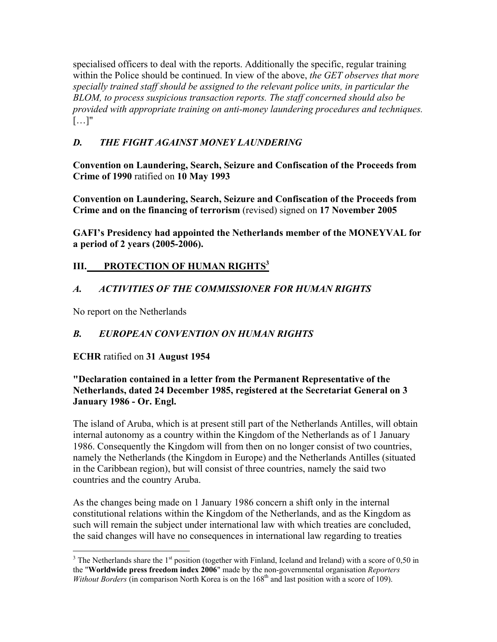specialised officers to deal with the reports. Additionally the specific, regular training within the Police should be continued. In view of the above, *the GET observes that more specially trained staff should be assigned to the relevant police units, in particular the BLOM, to process suspicious transaction reports. The staff concerned should also be provided with appropriate training on anti-money laundering procedures and techniques.*   $[\ldots]$ "

# *D. THE FIGHT AGAINST MONEY LAUNDERING*

**Convention on Laundering, Search, Seizure and Confiscation of the Proceeds from Crime of 1990** ratified on **10 May 1993**

**Convention on Laundering, Search, Seizure and Confiscation of the Proceeds from Crime and on the financing of terrorism** (revised) signed on **17 November 2005**

**GAFI's Presidency had appointed the Netherlands member of the MONEYVAL for a period of 2 years (2005-2006).**

# **III. PROTECTION OF HUMAN RIGHTS**<sup>3</sup>

# *A. ACTIVITIES OF THE COMMISSIONER FOR HUMAN RIGHTS*

No report on the Netherlands

# *B. EUROPEAN CONVENTION ON HUMAN RIGHTS*

**ECHR** ratified on **31 August 1954**

# **"Declaration contained in a letter from the Permanent Representative of the Netherlands, dated 24 December 1985, registered at the Secretariat General on 3 January 1986 - Or. Engl.**

The island of Aruba, which is at present still part of the Netherlands Antilles, will obtain internal autonomy as a country within the Kingdom of the Netherlands as of 1 January 1986. Consequently the Kingdom will from then on no longer consist of two countries, namely the Netherlands (the Kingdom in Europe) and the Netherlands Antilles (situated in the Caribbean region), but will consist of three countries, namely the said two countries and the country Aruba.

As the changes being made on 1 January 1986 concern a shift only in the internal constitutional relations within the Kingdom of the Netherlands, and as the Kingdom as such will remain the subject under international law with which treaties are concluded, the said changes will have no consequences in international law regarding to treaties

 $\overline{a}$  $3$  The Netherlands share the 1<sup>st</sup> position (together with Finland, Iceland and Ireland) with a score of 0,50 in the "**Worldwide press freedom index 2006**" made by the non-governmental organisation *Reporters Without Borders* (in comparison North Korea is on the 168<sup>th</sup> and last position with a score of 109).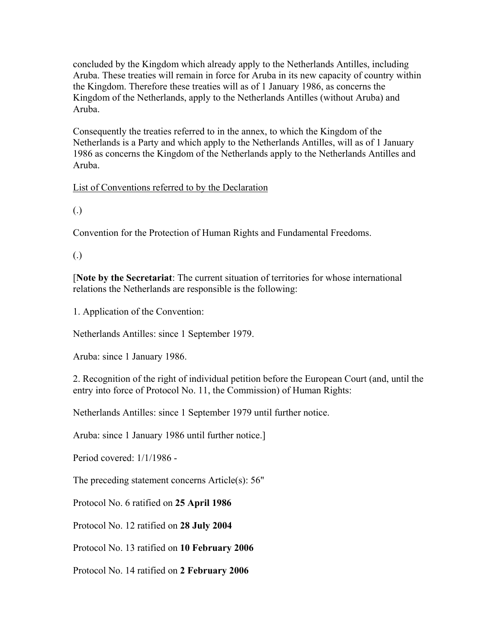concluded by the Kingdom which already apply to the Netherlands Antilles, including Aruba. These treaties will remain in force for Aruba in its new capacity of country within the Kingdom. Therefore these treaties will as of 1 January 1986, as concerns the Kingdom of the Netherlands, apply to the Netherlands Antilles (without Aruba) and Aruba.

Consequently the treaties referred to in the annex, to which the Kingdom of the Netherlands is a Party and which apply to the Netherlands Antilles, will as of 1 January 1986 as concerns the Kingdom of the Netherlands apply to the Netherlands Antilles and Aruba.

# List of Conventions referred to by the Declaration

(.)

Convention for the Protection of Human Rights and Fundamental Freedoms.

(.)

[**Note by the Secretariat**: The current situation of territories for whose international relations the Netherlands are responsible is the following:

1. Application of the Convention:

Netherlands Antilles: since 1 September 1979.

Aruba: since 1 January 1986.

2. Recognition of the right of individual petition before the European Court (and, until the entry into force of Protocol No. 11, the Commission) of Human Rights:

Netherlands Antilles: since 1 September 1979 until further notice.

Aruba: since 1 January 1986 until further notice.]

Period covered: 1/1/1986 -

The preceding statement concerns Article(s): 56"

Protocol No. 6 ratified on **25 April 1986**

Protocol No. 12 ratified on **28 July 2004**

Protocol No. 13 ratified on **10 February 2006**

Protocol No. 14 ratified on **2 February 2006**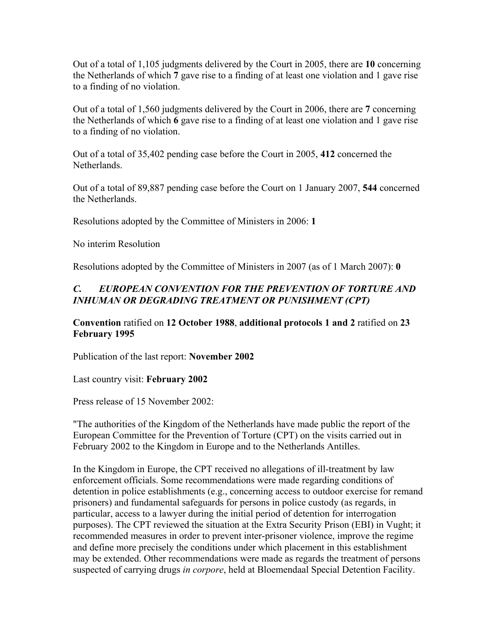Out of a total of 1,105 judgments delivered by the Court in 2005, there are **10** concerning the Netherlands of which **7** gave rise to a finding of at least one violation and 1 gave rise to a finding of no violation.

Out of a total of 1,560 judgments delivered by the Court in 2006, there are **7** concerning the Netherlands of which **6** gave rise to a finding of at least one violation and 1 gave rise to a finding of no violation.

Out of a total of 35,402 pending case before the Court in 2005, **412** concerned the Netherlands.

Out of a total of 89,887 pending case before the Court on 1 January 2007, **544** concerned the Netherlands.

Resolutions adopted by the Committee of Ministers in 2006: **1** 

No interim Resolution

Resolutions adopted by the Committee of Ministers in 2007 (as of 1 March 2007): **0** 

# *C. EUROPEAN CONVENTION FOR THE PREVENTION OF TORTURE AND INHUMAN OR DEGRADING TREATMENT OR PUNISHMENT (CPT)*

**Convention** ratified on **12 October 1988**, **additional protocols 1 and 2** ratified on **23 February 1995**

Publication of the last report: **November 2002** 

Last country visit: **February 2002**

Press release of 15 November 2002:

"The authorities of the Kingdom of the Netherlands have made public the report of the European Committee for the Prevention of Torture (CPT) on the visits carried out in February 2002 to the Kingdom in Europe and to the Netherlands Antilles.

In the Kingdom in Europe, the CPT received no allegations of ill-treatment by law enforcement officials. Some recommendations were made regarding conditions of detention in police establishments (e.g., concerning access to outdoor exercise for remand prisoners) and fundamental safeguards for persons in police custody (as regards, in particular, access to a lawyer during the initial period of detention for interrogation purposes). The CPT reviewed the situation at the Extra Security Prison (EBI) in Vught; it recommended measures in order to prevent inter-prisoner violence, improve the regime and define more precisely the conditions under which placement in this establishment may be extended. Other recommendations were made as regards the treatment of persons suspected of carrying drugs *in corpore*, held at Bloemendaal Special Detention Facility.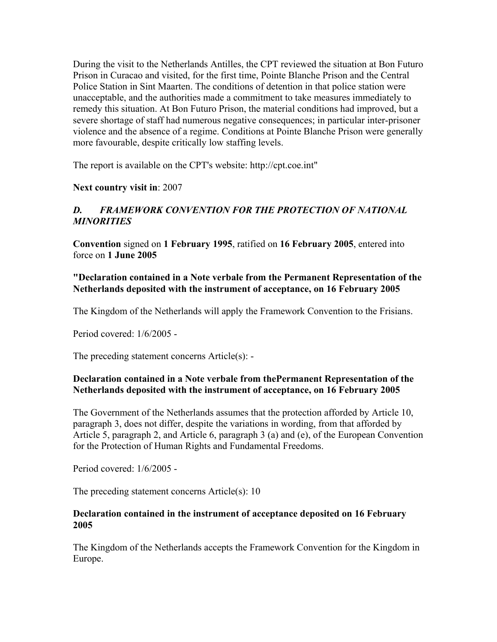During the visit to the Netherlands Antilles, the CPT reviewed the situation at Bon Futuro Prison in Curacao and visited, for the first time, Pointe Blanche Prison and the Central Police Station in Sint Maarten. The conditions of detention in that police station were unacceptable, and the authorities made a commitment to take measures immediately to remedy this situation. At Bon Futuro Prison, the material conditions had improved, but a severe shortage of staff had numerous negative consequences; in particular inter-prisoner violence and the absence of a regime. Conditions at Pointe Blanche Prison were generally more favourable, despite critically low staffing levels.

The report is available on the CPT's website: http://cpt.coe.int"

**Next country visit in**: 2007

### *D. FRAMEWORK CONVENTION FOR THE PROTECTION OF NATIONAL MINORITIES*

**Convention** signed on **1 February 1995**, ratified on **16 February 2005**, entered into force on **1 June 2005**

#### **"Declaration contained in a Note verbale from the Permanent Representation of the Netherlands deposited with the instrument of acceptance, on 16 February 2005**

The Kingdom of the Netherlands will apply the Framework Convention to the Frisians.

Period covered: 1/6/2005 -

The preceding statement concerns Article(s): -

#### **Declaration contained in a Note verbale from thePermanent Representation of the Netherlands deposited with the instrument of acceptance, on 16 February 2005**

The Government of the Netherlands assumes that the protection afforded by Article 10, paragraph 3, does not differ, despite the variations in wording, from that afforded by Article 5, paragraph 2, and Article 6, paragraph 3 (a) and (e), of the European Convention for the Protection of Human Rights and Fundamental Freedoms.

Period covered: 1/6/2005 -

The preceding statement concerns Article(s): 10

#### **Declaration contained in the instrument of acceptance deposited on 16 February 2005**

The Kingdom of the Netherlands accepts the Framework Convention for the Kingdom in Europe.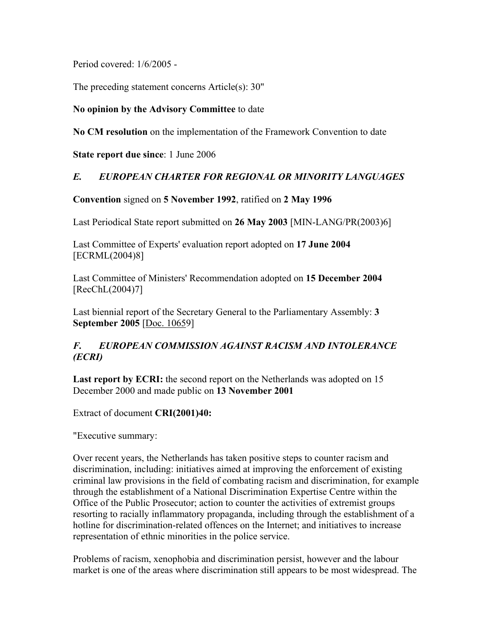Period covered: 1/6/2005 -

The preceding statement concerns Article(s): 30"

#### **No opinion by the Advisory Committee** to date

**No CM resolution** on the implementation of the Framework Convention to date

#### **State report due since**: 1 June 2006

# *E. EUROPEAN CHARTER FOR REGIONAL OR MINORITY LANGUAGES*

**Convention** signed on **5 November 1992**, ratified on **2 May 1996**

Last Periodical State report submitted on **26 May 2003** [MIN-LANG/PR(2003)6]

Last Committee of Experts' evaluation report adopted on **17 June 2004**  [ECRML(2004)8]

Last Committee of Ministers' Recommendation adopted on **15 December 2004**  [RecChL(2004)7]

Last biennial report of the Secretary General to the Parliamentary Assembly: **3 September 2005** [Doc. 10659]

# *F. EUROPEAN COMMISSION AGAINST RACISM AND INTOLERANCE (ECRI)*

Last report by ECRI: the second report on the Netherlands was adopted on 15 December 2000 and made public on **13 November 2001**

Extract of document **CRI(2001)40:** 

"Executive summary:

Over recent years, the Netherlands has taken positive steps to counter racism and discrimination, including: initiatives aimed at improving the enforcement of existing criminal law provisions in the field of combating racism and discrimination, for example through the establishment of a National Discrimination Expertise Centre within the Office of the Public Prosecutor; action to counter the activities of extremist groups resorting to racially inflammatory propaganda, including through the establishment of a hotline for discrimination-related offences on the Internet; and initiatives to increase representation of ethnic minorities in the police service.

Problems of racism, xenophobia and discrimination persist, however and the labour market is one of the areas where discrimination still appears to be most widespread. The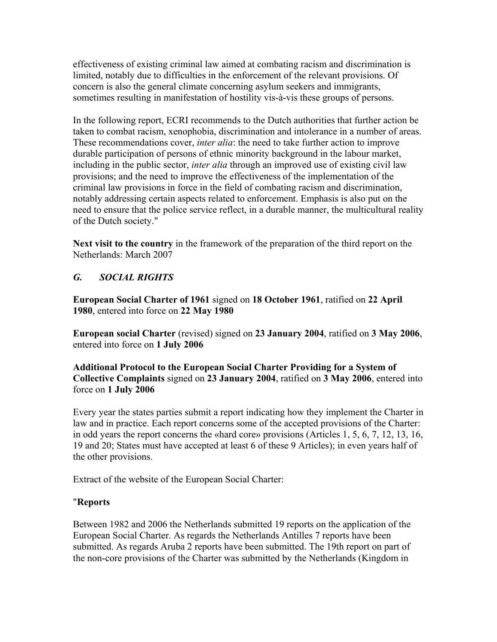effectiveness of existing criminal law aimed at combating racism and discrimination is limited, notably due to difficulties in the enforcement of the relevant provisions. Of concern is also the general climate concerning asylum seekers and immigrants, sometimes resulting in manifestation of hostility vis-à-vis these groups of persons.

In the following report, ECRI recommends to the Dutch authorities that further action be taken to combat racism, xenophobia, discrimination and intolerance in a number of areas. These recommendations cover, *inter alia*: the need to take further action to improve durable participation of persons of ethnic minority background in the labour market, including in the public sector, *inter alia* through an improved use of existing civil law provisions; and the need to improve the effectiveness of the implementation of the criminal law provisions in force in the field of combating racism and discrimination, notably addressing certain aspects related to enforcement. Emphasis is also put on the need to ensure that the police service reflect, in a durable manner, the multicultural reality of the Dutch society."

**Next visit to the country** in the framework of the preparation of the third report on the Netherlands: March 2007

# *G. SOCIAL RIGHTS*

**European Social Charter of 1961** signed on **18 October 1961**, ratified on **22 April 1980**, entered into force on **22 May 1980**

**European social Charter** (revised) signed on **23 January 2004**, ratified on **3 May 2006**, entered into force on **1 July 2006**

**Additional Protocol to the European Social Charter Providing for a System of Collective Complaints** signed on **23 January 2004**, ratified on **3 May 2006**, entered into force on **1 July 2006**

Every year the states parties submit a report indicating how they implement the Charter in law and in practice. Each report concerns some of the accepted provisions of the Charter: in odd years the report concerns the «hard core» provisions (Articles 1, 5, 6, 7, 12, 13, 16, 19 and 20; States must have accepted at least 6 of these 9 Articles); in even years half of the other provisions.

Extract of the website of the European Social Charter:

# "**Reports**

Between 1982 and 2006 the Netherlands submitted 19 reports on the application of the European Social Charter. As regards the Netherlands Antilles 7 reports have been submitted. As regards Aruba 2 reports have been submitted. The 19th report on part of the non-core provisions of the Charter was submitted by the Netherlands (Kingdom in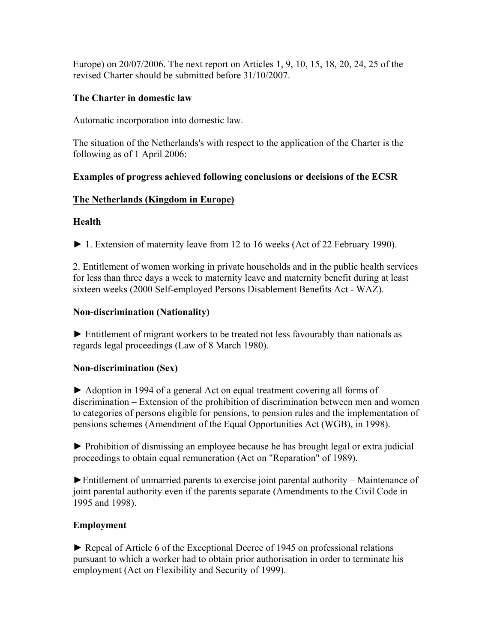Europe) on 20/07/2006. The next report on Articles 1, 9, 10, 15, 18, 20, 24, 25 of the revised Charter should be submitted before 31/10/2007.

#### **The Charter in domestic law**

Automatic incorporation into domestic law.

The situation of the Netherlands's with respect to the application of the Charter is the following as of 1 April 2006:

# **Examples of progress achieved following conclusions or decisions of the ECSR**

# **The Netherlands (Kingdom in Europe)**

# **Health**

► 1. Extension of maternity leave from 12 to 16 weeks (Act of 22 February 1990).

2. Entitlement of women working in private households and in the public health services for less than three days a week to maternity leave and maternity benefit during at least sixteen weeks (2000 Self-employed Persons Disablement Benefits Act - WAZ).

# **Non-discrimination (Nationality)**

► Entitlement of migrant workers to be treated not less favourably than nationals as regards legal proceedings (Law of 8 March 1980).

# **Non-discrimination (Sex)**

► Adoption in 1994 of a general Act on equal treatment covering all forms of discrimination – Extension of the prohibition of discrimination between men and women to categories of persons eligible for pensions, to pension rules and the implementation of pensions schemes (Amendment of the Equal Opportunities Act (WGB), in 1998).

► Prohibition of dismissing an employee because he has brought legal or extra judicial proceedings to obtain equal remuneration (Act on "Reparation" of 1989).

►Entitlement of unmarried parents to exercise joint parental authority – Maintenance of joint parental authority even if the parents separate (Amendments to the Civil Code in 1995 and 1998).

#### **Employment**

► Repeal of Article 6 of the Exceptional Decree of 1945 on professional relations pursuant to which a worker had to obtain prior authorisation in order to terminate his employment (Act on Flexibility and Security of 1999).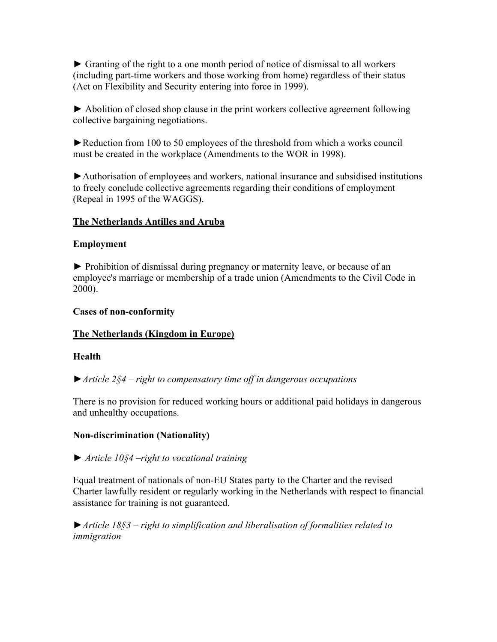► Granting of the right to a one month period of notice of dismissal to all workers (including part-time workers and those working from home) regardless of their status (Act on Flexibility and Security entering into force in 1999).

► Abolition of closed shop clause in the print workers collective agreement following collective bargaining negotiations.

►Reduction from 100 to 50 employees of the threshold from which a works council must be created in the workplace (Amendments to the WOR in 1998).

►Authorisation of employees and workers, national insurance and subsidised institutions to freely conclude collective agreements regarding their conditions of employment (Repeal in 1995 of the WAGGS).

# **The Netherlands Antilles and Aruba**

#### **Employment**

► Prohibition of dismissal during pregnancy or maternity leave, or because of an employee's marriage or membership of a trade union (Amendments to the Civil Code in 2000).

#### **Cases of non-conformity**

#### **The Netherlands (Kingdom in Europe)**

#### **Health**

►*Article 2§4 – right to compensatory time off in dangerous occupations*

There is no provision for reduced working hours or additional paid holidays in dangerous and unhealthy occupations.

#### **Non-discrimination (Nationality)**

#### ► *Article 10§4 –right to vocational training*

Equal treatment of nationals of non-EU States party to the Charter and the revised Charter lawfully resident or regularly working in the Netherlands with respect to financial assistance for training is not guaranteed.

►*Article 18§3 – right to simplification and liberalisation of formalities related to immigration*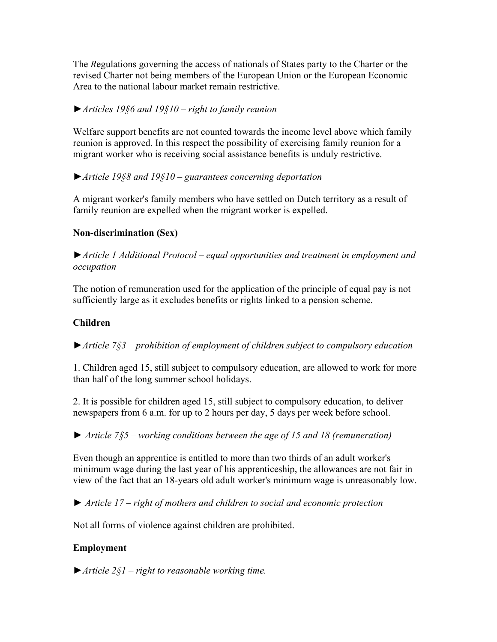The *R*egulations governing the access of nationals of States party to the Charter or the revised Charter not being members of the European Union or the European Economic Area to the national labour market remain restrictive.

# ►*Articles 19§6 and 19§10 – right to family reunion*

Welfare support benefits are not counted towards the income level above which family reunion is approved. In this respect the possibility of exercising family reunion for a migrant worker who is receiving social assistance benefits is unduly restrictive.

# ►*Article 19§8 and 19§10 – guarantees concerning deportation*

A migrant worker's family members who have settled on Dutch territory as a result of family reunion are expelled when the migrant worker is expelled.

# **Non-discrimination (Sex)**

►*Article 1 Additional Protocol – equal opportunities and treatment in employment and occupation*

The notion of remuneration used for the application of the principle of equal pay is not sufficiently large as it excludes benefits or rights linked to a pension scheme.

#### **Children**

►*Article 7§3 – prohibition of employment of children subject to compulsory education*

1. Children aged 15, still subject to compulsory education, are allowed to work for more than half of the long summer school holidays.

2. It is possible for children aged 15, still subject to compulsory education, to deliver newspapers from 6 a.m. for up to 2 hours per day, 5 days per week before school.

► *Article 7§5 – working conditions between the age of 15 and 18 (remuneration)*

Even though an apprentice is entitled to more than two thirds of an adult worker's minimum wage during the last year of his apprenticeship, the allowances are not fair in view of the fact that an 18-years old adult worker's minimum wage is unreasonably low.

► *Article 17 – right of mothers and children to social and economic protection*

Not all forms of violence against children are prohibited.

# **Employment**

►*Article 2§1 – right to reasonable working time.*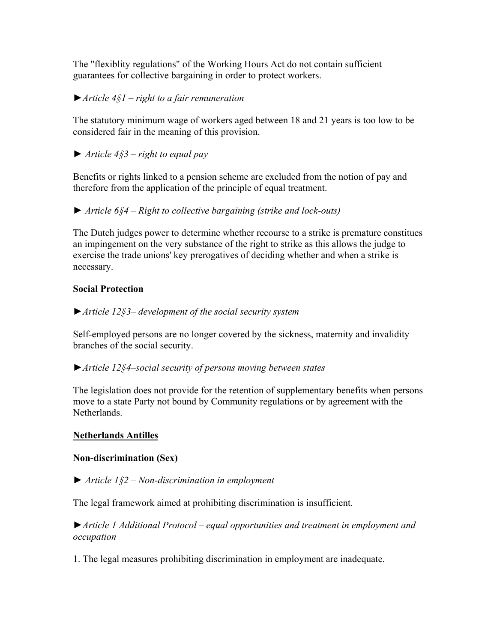The "flexiblity regulations" of the Working Hours Act do not contain sufficient guarantees for collective bargaining in order to protect workers.

# ►*Article 4§1 – right to a fair remuneration*

The statutory minimum wage of workers aged between 18 and 21 years is too low to be considered fair in the meaning of this provision.

► *Article 4§3 – right to equal pay*

Benefits or rights linked to a pension scheme are excluded from the notion of pay and therefore from the application of the principle of equal treatment.

► *Article 6§4 – Right to collective bargaining (strike and lock-outs)*

The Dutch judges power to determine whether recourse to a strike is premature constitues an impingement on the very substance of the right to strike as this allows the judge to exercise the trade unions' key prerogatives of deciding whether and when a strike is necessary.

#### **Social Protection**

►*Article 12§3– development of the social security system*

Self-employed persons are no longer covered by the sickness, maternity and invalidity branches of the social security.

►*Article 12§4–social security of persons moving between states*

The legislation does not provide for the retention of supplementary benefits when persons move to a state Party not bound by Community regulations or by agreement with the **Netherlands** 

#### **Netherlands Antilles**

#### **Non-discrimination (Sex)**

► *Article 1§2 – Non-discrimination in employment*

The legal framework aimed at prohibiting discrimination is insufficient.

►*Article 1 Additional Protocol – equal opportunities and treatment in employment and occupation*

1. The legal measures prohibiting discrimination in employment are inadequate.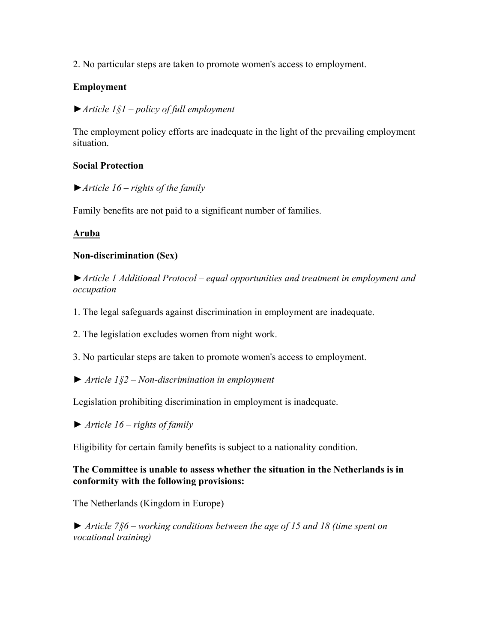2. No particular steps are taken to promote women's access to employment.

# **Employment**

# ►*Article 1§1 – policy of full employment*

The employment policy efforts are inadequate in the light of the prevailing employment situation.

### **Social Protection**

►*Article 16 – rights of the family*

Family benefits are not paid to a significant number of families.

# **Aruba**

# **Non-discrimination (Sex)**

►*Article 1 Additional Protocol – equal opportunities and treatment in employment and occupation*

- 1. The legal safeguards against discrimination in employment are inadequate.
- 2. The legislation excludes women from night work.
- 3. No particular steps are taken to promote women's access to employment.
- ► *Article 1§2 Non-discrimination in employment*

Legislation prohibiting discrimination in employment is inadequate.

► *Article 16 – rights of family*

Eligibility for certain family benefits is subject to a nationality condition.

#### **The Committee is unable to assess whether the situation in the Netherlands is in conformity with the following provisions:**

The Netherlands (Kingdom in Europe)

► *Article 7§6 – working conditions between the age of 15 and 18 (time spent on vocational training)*